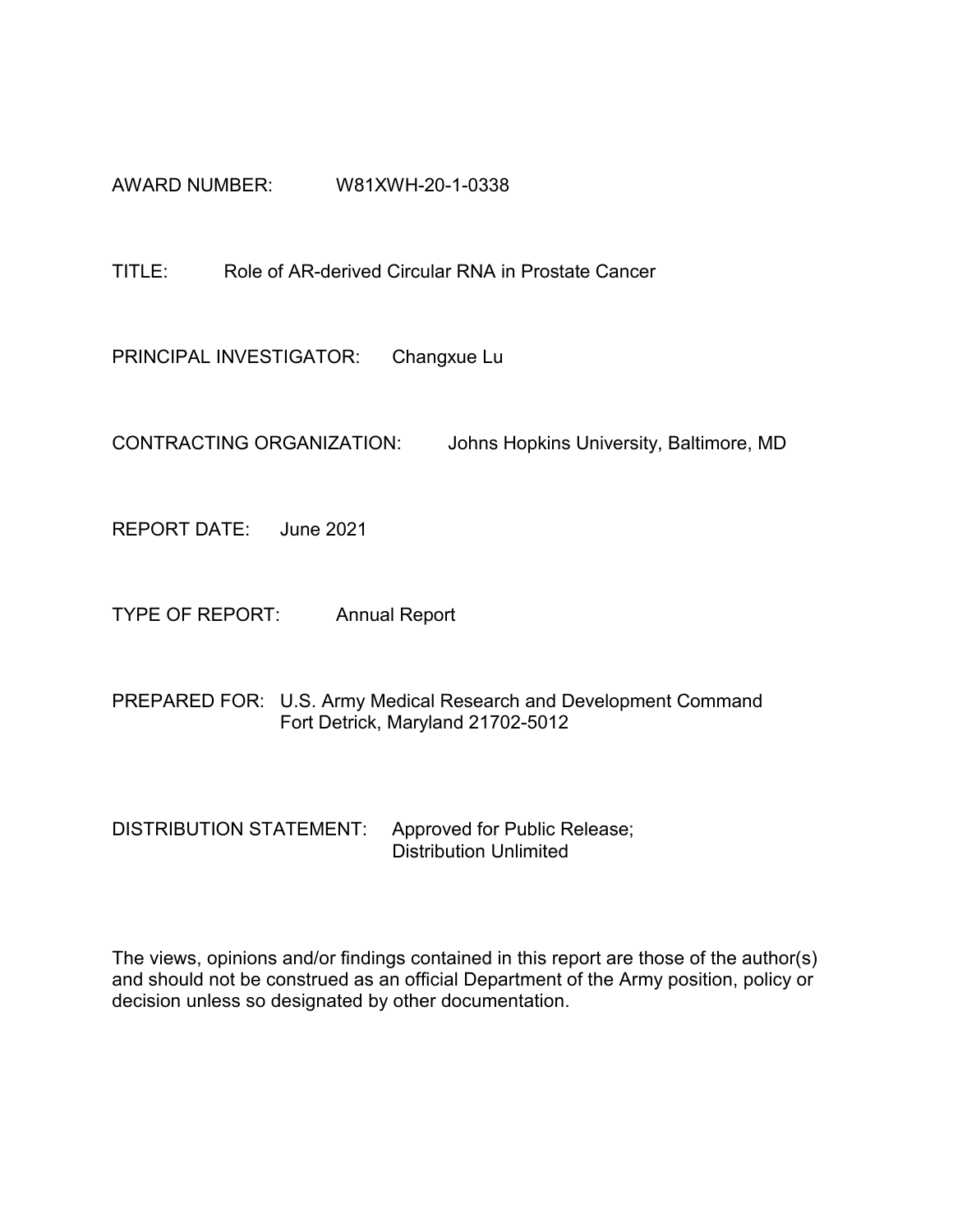## AWARD NUMBER: W81XWH-20-1-0338

TITLE: Role of AR-derived Circular RNA in Prostate Cancer

PRINCIPAL INVESTIGATOR: Changxue Lu

CONTRACTING ORGANIZATION: Johns Hopkins University, Baltimore, MD

REPORT DATE: June 2021

TYPE OF REPORT: Annual Report

PREPARED FOR: U.S. Army Medical Research and Development Command Fort Detrick, Maryland 21702-5012

DISTRIBUTION STATEMENT: Approved for Public Release; Distribution Unlimited

The views, opinions and/or findings contained in this report are those of the author(s) and should not be construed as an official Department of the Army position, policy or decision unless so designated by other documentation.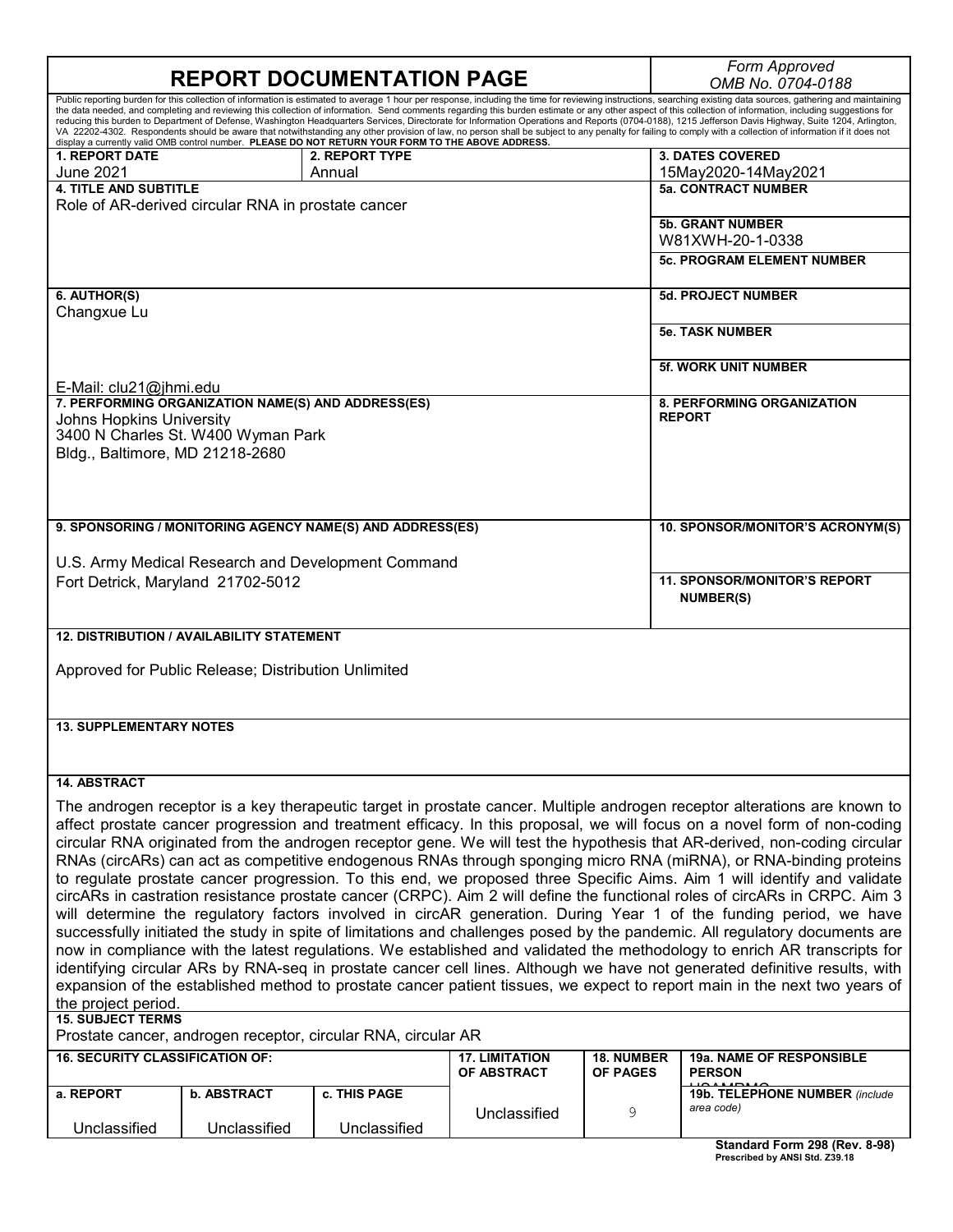| <b>REPORT DOCUMENTATION PAGE</b>                                                                                                                                                                                                                                                                                                                                                                                                                                                                                                                                                                                                                                                                                                                                                                                                                         |                                                                                                                                                                                                                                                       |                                                                                                                             |                       |                                             | Form Approved<br>OMB No. 0704-0188                                                                                        |  |  |  |
|----------------------------------------------------------------------------------------------------------------------------------------------------------------------------------------------------------------------------------------------------------------------------------------------------------------------------------------------------------------------------------------------------------------------------------------------------------------------------------------------------------------------------------------------------------------------------------------------------------------------------------------------------------------------------------------------------------------------------------------------------------------------------------------------------------------------------------------------------------|-------------------------------------------------------------------------------------------------------------------------------------------------------------------------------------------------------------------------------------------------------|-----------------------------------------------------------------------------------------------------------------------------|-----------------------|---------------------------------------------|---------------------------------------------------------------------------------------------------------------------------|--|--|--|
| Public reporting burden for this collection of information is estimated to average 1 hour per response, including the time for reviewing instructions, searching existing data sources, gathering and maintaining<br>the data needed, and completing and reviewing this collection of information. Send comments regarding this burden estimate or any other aspect of this collection of information, including suggestions for<br>reducing this burden to Department of Defense, Washington Headquarters Services, Directorate for Information Operations and Reports (0704-0188), 1215 Jefferson Davis Highway, Suite 1204, Arlington,<br>VA 22202-4302. Respondents should be aware that notwithstanding any other provision of law, no person shall be subject to any penalty for failing to comply with a collection of information if it does not |                                                                                                                                                                                                                                                       |                                                                                                                             |                       |                                             |                                                                                                                           |  |  |  |
| <b>1. REPORT DATE</b>                                                                                                                                                                                                                                                                                                                                                                                                                                                                                                                                                                                                                                                                                                                                                                                                                                    |                                                                                                                                                                                                                                                       | display a currently valid OMB control number. PLEASE DO NOT RETURN YOUR FORM TO THE ABOVE ADDRESS.<br><b>2. REPORT TYPE</b> |                       |                                             | <b>3. DATES COVERED</b>                                                                                                   |  |  |  |
| <b>June 2021</b>                                                                                                                                                                                                                                                                                                                                                                                                                                                                                                                                                                                                                                                                                                                                                                                                                                         |                                                                                                                                                                                                                                                       | Annual                                                                                                                      |                       |                                             | 15May2020-14May2021                                                                                                       |  |  |  |
| <b>4. TITLE AND SUBTITLE</b>                                                                                                                                                                                                                                                                                                                                                                                                                                                                                                                                                                                                                                                                                                                                                                                                                             |                                                                                                                                                                                                                                                       |                                                                                                                             |                       |                                             | <b>5a. CONTRACT NUMBER</b>                                                                                                |  |  |  |
|                                                                                                                                                                                                                                                                                                                                                                                                                                                                                                                                                                                                                                                                                                                                                                                                                                                          | Role of AR-derived circular RNA in prostate cancer                                                                                                                                                                                                    |                                                                                                                             |                       |                                             |                                                                                                                           |  |  |  |
|                                                                                                                                                                                                                                                                                                                                                                                                                                                                                                                                                                                                                                                                                                                                                                                                                                                          |                                                                                                                                                                                                                                                       |                                                                                                                             |                       | <b>5b. GRANT NUMBER</b><br>W81XWH-20-1-0338 |                                                                                                                           |  |  |  |
|                                                                                                                                                                                                                                                                                                                                                                                                                                                                                                                                                                                                                                                                                                                                                                                                                                                          |                                                                                                                                                                                                                                                       |                                                                                                                             |                       |                                             | <b>5c. PROGRAM ELEMENT NUMBER</b>                                                                                         |  |  |  |
|                                                                                                                                                                                                                                                                                                                                                                                                                                                                                                                                                                                                                                                                                                                                                                                                                                                          |                                                                                                                                                                                                                                                       |                                                                                                                             |                       |                                             |                                                                                                                           |  |  |  |
| 6. AUTHOR(S)                                                                                                                                                                                                                                                                                                                                                                                                                                                                                                                                                                                                                                                                                                                                                                                                                                             |                                                                                                                                                                                                                                                       |                                                                                                                             |                       |                                             | <b>5d. PROJECT NUMBER</b>                                                                                                 |  |  |  |
| Changxue Lu                                                                                                                                                                                                                                                                                                                                                                                                                                                                                                                                                                                                                                                                                                                                                                                                                                              |                                                                                                                                                                                                                                                       |                                                                                                                             |                       |                                             |                                                                                                                           |  |  |  |
|                                                                                                                                                                                                                                                                                                                                                                                                                                                                                                                                                                                                                                                                                                                                                                                                                                                          |                                                                                                                                                                                                                                                       |                                                                                                                             |                       |                                             | <b>5e. TASK NUMBER</b>                                                                                                    |  |  |  |
|                                                                                                                                                                                                                                                                                                                                                                                                                                                                                                                                                                                                                                                                                                                                                                                                                                                          |                                                                                                                                                                                                                                                       |                                                                                                                             |                       |                                             | <b>5f. WORK UNIT NUMBER</b>                                                                                               |  |  |  |
| E-Mail: $clu21@jhmi.edu$                                                                                                                                                                                                                                                                                                                                                                                                                                                                                                                                                                                                                                                                                                                                                                                                                                 |                                                                                                                                                                                                                                                       |                                                                                                                             |                       |                                             |                                                                                                                           |  |  |  |
|                                                                                                                                                                                                                                                                                                                                                                                                                                                                                                                                                                                                                                                                                                                                                                                                                                                          | 7. PERFORMING ORGANIZATION NAME(S) AND ADDRESS(ES)                                                                                                                                                                                                    |                                                                                                                             |                       |                                             | <b>8. PERFORMING ORGANIZATION</b>                                                                                         |  |  |  |
| Johns Hopkins University                                                                                                                                                                                                                                                                                                                                                                                                                                                                                                                                                                                                                                                                                                                                                                                                                                 |                                                                                                                                                                                                                                                       |                                                                                                                             |                       |                                             | <b>REPORT</b>                                                                                                             |  |  |  |
|                                                                                                                                                                                                                                                                                                                                                                                                                                                                                                                                                                                                                                                                                                                                                                                                                                                          | 3400 N Charles St. W400 Wyman Park                                                                                                                                                                                                                    |                                                                                                                             |                       |                                             |                                                                                                                           |  |  |  |
| Bldg., Baltimore, MD 21218-2680                                                                                                                                                                                                                                                                                                                                                                                                                                                                                                                                                                                                                                                                                                                                                                                                                          |                                                                                                                                                                                                                                                       |                                                                                                                             |                       |                                             |                                                                                                                           |  |  |  |
|                                                                                                                                                                                                                                                                                                                                                                                                                                                                                                                                                                                                                                                                                                                                                                                                                                                          |                                                                                                                                                                                                                                                       |                                                                                                                             |                       |                                             |                                                                                                                           |  |  |  |
|                                                                                                                                                                                                                                                                                                                                                                                                                                                                                                                                                                                                                                                                                                                                                                                                                                                          |                                                                                                                                                                                                                                                       |                                                                                                                             |                       |                                             |                                                                                                                           |  |  |  |
|                                                                                                                                                                                                                                                                                                                                                                                                                                                                                                                                                                                                                                                                                                                                                                                                                                                          |                                                                                                                                                                                                                                                       |                                                                                                                             |                       |                                             |                                                                                                                           |  |  |  |
|                                                                                                                                                                                                                                                                                                                                                                                                                                                                                                                                                                                                                                                                                                                                                                                                                                                          |                                                                                                                                                                                                                                                       | 9. SPONSORING / MONITORING AGENCY NAME(S) AND ADDRESS(ES)                                                                   |                       |                                             | 10. SPONSOR/MONITOR'S ACRONYM(S)                                                                                          |  |  |  |
|                                                                                                                                                                                                                                                                                                                                                                                                                                                                                                                                                                                                                                                                                                                                                                                                                                                          |                                                                                                                                                                                                                                                       |                                                                                                                             |                       |                                             |                                                                                                                           |  |  |  |
|                                                                                                                                                                                                                                                                                                                                                                                                                                                                                                                                                                                                                                                                                                                                                                                                                                                          |                                                                                                                                                                                                                                                       | U.S. Army Medical Research and Development Command                                                                          |                       |                                             |                                                                                                                           |  |  |  |
| Fort Detrick, Maryland 21702-5012                                                                                                                                                                                                                                                                                                                                                                                                                                                                                                                                                                                                                                                                                                                                                                                                                        |                                                                                                                                                                                                                                                       |                                                                                                                             |                       |                                             | <b>11. SPONSOR/MONITOR'S REPORT</b>                                                                                       |  |  |  |
|                                                                                                                                                                                                                                                                                                                                                                                                                                                                                                                                                                                                                                                                                                                                                                                                                                                          |                                                                                                                                                                                                                                                       |                                                                                                                             |                       |                                             | <b>NUMBER(S)</b>                                                                                                          |  |  |  |
|                                                                                                                                                                                                                                                                                                                                                                                                                                                                                                                                                                                                                                                                                                                                                                                                                                                          |                                                                                                                                                                                                                                                       |                                                                                                                             |                       |                                             |                                                                                                                           |  |  |  |
|                                                                                                                                                                                                                                                                                                                                                                                                                                                                                                                                                                                                                                                                                                                                                                                                                                                          |                                                                                                                                                                                                                                                       |                                                                                                                             |                       |                                             |                                                                                                                           |  |  |  |
| <b>12. DISTRIBUTION / AVAILABILITY STATEMENT</b>                                                                                                                                                                                                                                                                                                                                                                                                                                                                                                                                                                                                                                                                                                                                                                                                         |                                                                                                                                                                                                                                                       |                                                                                                                             |                       |                                             |                                                                                                                           |  |  |  |
| Approved for Public Release; Distribution Unlimited                                                                                                                                                                                                                                                                                                                                                                                                                                                                                                                                                                                                                                                                                                                                                                                                      |                                                                                                                                                                                                                                                       |                                                                                                                             |                       |                                             |                                                                                                                           |  |  |  |
|                                                                                                                                                                                                                                                                                                                                                                                                                                                                                                                                                                                                                                                                                                                                                                                                                                                          |                                                                                                                                                                                                                                                       |                                                                                                                             |                       |                                             |                                                                                                                           |  |  |  |
|                                                                                                                                                                                                                                                                                                                                                                                                                                                                                                                                                                                                                                                                                                                                                                                                                                                          |                                                                                                                                                                                                                                                       |                                                                                                                             |                       |                                             |                                                                                                                           |  |  |  |
|                                                                                                                                                                                                                                                                                                                                                                                                                                                                                                                                                                                                                                                                                                                                                                                                                                                          |                                                                                                                                                                                                                                                       |                                                                                                                             |                       |                                             |                                                                                                                           |  |  |  |
| <b>13. SUPPLEMENTARY NOTES</b>                                                                                                                                                                                                                                                                                                                                                                                                                                                                                                                                                                                                                                                                                                                                                                                                                           |                                                                                                                                                                                                                                                       |                                                                                                                             |                       |                                             |                                                                                                                           |  |  |  |
|                                                                                                                                                                                                                                                                                                                                                                                                                                                                                                                                                                                                                                                                                                                                                                                                                                                          |                                                                                                                                                                                                                                                       |                                                                                                                             |                       |                                             |                                                                                                                           |  |  |  |
|                                                                                                                                                                                                                                                                                                                                                                                                                                                                                                                                                                                                                                                                                                                                                                                                                                                          |                                                                                                                                                                                                                                                       |                                                                                                                             |                       |                                             |                                                                                                                           |  |  |  |
| <b>14. ABSTRACT</b>                                                                                                                                                                                                                                                                                                                                                                                                                                                                                                                                                                                                                                                                                                                                                                                                                                      |                                                                                                                                                                                                                                                       |                                                                                                                             |                       |                                             |                                                                                                                           |  |  |  |
|                                                                                                                                                                                                                                                                                                                                                                                                                                                                                                                                                                                                                                                                                                                                                                                                                                                          |                                                                                                                                                                                                                                                       |                                                                                                                             |                       |                                             | The androgen receptor is a key therapeutic target in prostate cancer. Multiple androgen receptor alterations are known to |  |  |  |
|                                                                                                                                                                                                                                                                                                                                                                                                                                                                                                                                                                                                                                                                                                                                                                                                                                                          |                                                                                                                                                                                                                                                       |                                                                                                                             |                       |                                             |                                                                                                                           |  |  |  |
|                                                                                                                                                                                                                                                                                                                                                                                                                                                                                                                                                                                                                                                                                                                                                                                                                                                          | affect prostate cancer progression and treatment efficacy. In this proposal, we will focus on a novel form of non-coding<br>circular RNA originated from the androgen receptor gene. We will test the hypothesis that AR-derived, non-coding circular |                                                                                                                             |                       |                                             |                                                                                                                           |  |  |  |
|                                                                                                                                                                                                                                                                                                                                                                                                                                                                                                                                                                                                                                                                                                                                                                                                                                                          |                                                                                                                                                                                                                                                       |                                                                                                                             |                       |                                             |                                                                                                                           |  |  |  |
| RNAs (circARs) can act as competitive endogenous RNAs through sponging micro RNA (miRNA), or RNA-binding proteins                                                                                                                                                                                                                                                                                                                                                                                                                                                                                                                                                                                                                                                                                                                                        |                                                                                                                                                                                                                                                       |                                                                                                                             |                       |                                             |                                                                                                                           |  |  |  |
| to regulate prostate cancer progression. To this end, we proposed three Specific Aims. Aim 1 will identify and validate<br>circARs in castration resistance prostate cancer (CRPC). Aim 2 will define the functional roles of circARs in CRPC. Aim 3                                                                                                                                                                                                                                                                                                                                                                                                                                                                                                                                                                                                     |                                                                                                                                                                                                                                                       |                                                                                                                             |                       |                                             |                                                                                                                           |  |  |  |
|                                                                                                                                                                                                                                                                                                                                                                                                                                                                                                                                                                                                                                                                                                                                                                                                                                                          |                                                                                                                                                                                                                                                       |                                                                                                                             |                       |                                             |                                                                                                                           |  |  |  |
| will determine the regulatory factors involved in circAR generation. During Year 1 of the funding period, we have                                                                                                                                                                                                                                                                                                                                                                                                                                                                                                                                                                                                                                                                                                                                        |                                                                                                                                                                                                                                                       |                                                                                                                             |                       |                                             |                                                                                                                           |  |  |  |
| successfully initiated the study in spite of limitations and challenges posed by the pandemic. All regulatory documents are                                                                                                                                                                                                                                                                                                                                                                                                                                                                                                                                                                                                                                                                                                                              |                                                                                                                                                                                                                                                       |                                                                                                                             |                       |                                             |                                                                                                                           |  |  |  |
| now in compliance with the latest regulations. We established and validated the methodology to enrich AR transcripts for                                                                                                                                                                                                                                                                                                                                                                                                                                                                                                                                                                                                                                                                                                                                 |                                                                                                                                                                                                                                                       |                                                                                                                             |                       |                                             |                                                                                                                           |  |  |  |
| identifying circular ARs by RNA-seq in prostate cancer cell lines. Although we have not generated definitive results, with                                                                                                                                                                                                                                                                                                                                                                                                                                                                                                                                                                                                                                                                                                                               |                                                                                                                                                                                                                                                       |                                                                                                                             |                       |                                             |                                                                                                                           |  |  |  |
| expansion of the established method to prostate cancer patient tissues, we expect to report main in the next two years of                                                                                                                                                                                                                                                                                                                                                                                                                                                                                                                                                                                                                                                                                                                                |                                                                                                                                                                                                                                                       |                                                                                                                             |                       |                                             |                                                                                                                           |  |  |  |
| the project period.                                                                                                                                                                                                                                                                                                                                                                                                                                                                                                                                                                                                                                                                                                                                                                                                                                      |                                                                                                                                                                                                                                                       |                                                                                                                             |                       |                                             |                                                                                                                           |  |  |  |
| <b>15. SUBJECT TERMS</b>                                                                                                                                                                                                                                                                                                                                                                                                                                                                                                                                                                                                                                                                                                                                                                                                                                 |                                                                                                                                                                                                                                                       |                                                                                                                             |                       |                                             |                                                                                                                           |  |  |  |
| Prostate cancer, androgen receptor, circular RNA, circular AR                                                                                                                                                                                                                                                                                                                                                                                                                                                                                                                                                                                                                                                                                                                                                                                            |                                                                                                                                                                                                                                                       |                                                                                                                             |                       |                                             |                                                                                                                           |  |  |  |
| <b>16. SECURITY CLASSIFICATION OF:</b>                                                                                                                                                                                                                                                                                                                                                                                                                                                                                                                                                                                                                                                                                                                                                                                                                   |                                                                                                                                                                                                                                                       |                                                                                                                             | <b>17. LIMITATION</b> | <b>18. NUMBER</b>                           | <b>19a. NAME OF RESPONSIBLE</b>                                                                                           |  |  |  |
|                                                                                                                                                                                                                                                                                                                                                                                                                                                                                                                                                                                                                                                                                                                                                                                                                                                          |                                                                                                                                                                                                                                                       |                                                                                                                             | OF ABSTRACT           | <b>OF PAGES</b>                             | <b>PERSON</b>                                                                                                             |  |  |  |
| a. REPORT                                                                                                                                                                                                                                                                                                                                                                                                                                                                                                                                                                                                                                                                                                                                                                                                                                                | <b>b. ABSTRACT</b>                                                                                                                                                                                                                                    | c. THIS PAGE                                                                                                                |                       |                                             | 19b. TELEPHONE NUMBER (include                                                                                            |  |  |  |
|                                                                                                                                                                                                                                                                                                                                                                                                                                                                                                                                                                                                                                                                                                                                                                                                                                                          |                                                                                                                                                                                                                                                       |                                                                                                                             | Unclassified          | 9                                           | area code)                                                                                                                |  |  |  |
| Unclassified                                                                                                                                                                                                                                                                                                                                                                                                                                                                                                                                                                                                                                                                                                                                                                                                                                             | Unclassified                                                                                                                                                                                                                                          | Unclassified                                                                                                                |                       |                                             |                                                                                                                           |  |  |  |
|                                                                                                                                                                                                                                                                                                                                                                                                                                                                                                                                                                                                                                                                                                                                                                                                                                                          |                                                                                                                                                                                                                                                       |                                                                                                                             |                       |                                             | Standard Form 298 (Rev. 8-98)                                                                                             |  |  |  |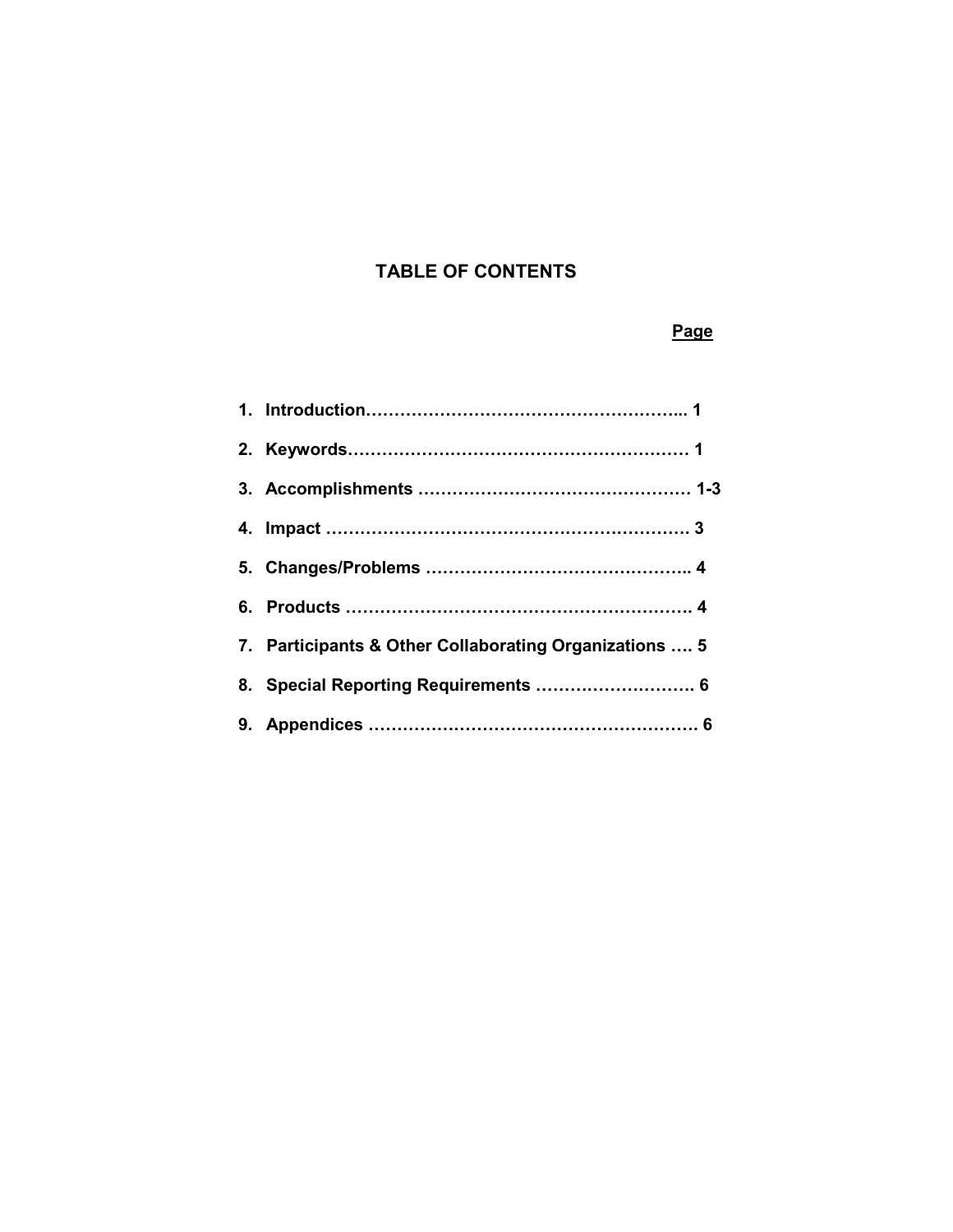# **TABLE OF CONTENTS**

## **Page**

| 7. Participants & Other Collaborating Organizations  5 |
|--------------------------------------------------------|
| 8. Special Reporting Requirements  6                   |
|                                                        |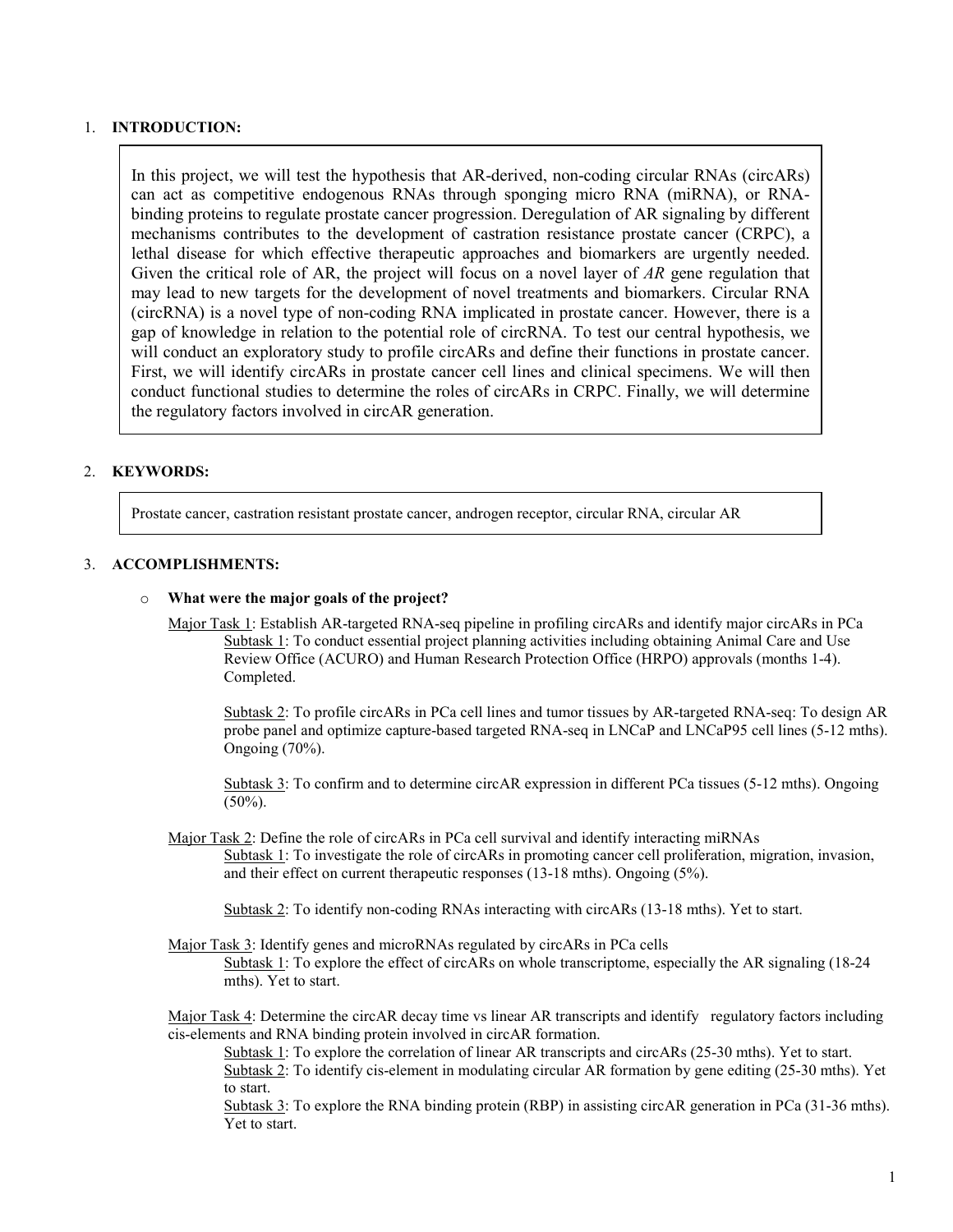#### 1. **INTRODUCTION:**

In this project, we will test the hypothesis that AR-derived, non-coding circular RNAs (circARs) can act as competitive endogenous RNAs through sponging micro RNA (miRNA), or RNAbinding proteins to regulate prostate cancer progression. Deregulation of AR signaling by different mechanisms contributes to the development of castration resistance prostate cancer (CRPC), a lethal disease for which effective therapeutic approaches and biomarkers are urgently needed. Given the critical role of AR, the project will focus on a novel layer of *AR* gene regulation that may lead to new targets for the development of novel treatments and biomarkers. Circular RNA (circRNA) is a novel type of non-coding RNA implicated in prostate cancer. However, there is a gap of knowledge in relation to the potential role of circRNA. To test our central hypothesis, we will conduct an exploratory study to profile circARs and define their functions in prostate cancer. First, we will identify circARs in prostate cancer cell lines and clinical specimens. We will then conduct functional studies to determine the roles of circARs in CRPC. Finally, we will determine the regulatory factors involved in circAR generation.

#### 2. **KEYWORDS:**

Prostate cancer, castration resistant prostate cancer, androgen receptor, circular RNA, circular AR

#### 3. **ACCOMPLISHMENTS:**

#### o **What were the major goals of the project?**

Major Task 1: Establish AR-targeted RNA-seq pipeline in profiling circARs and identify major circARs in PCa Subtask 1: To conduct essential project planning activities including obtaining Animal Care and Use Review Office (ACURO) and Human Research Protection Office (HRPO) approvals (months 1-4). Completed.

Subtask 2: To profile circARs in PCa cell lines and tumor tissues by AR-targeted RNA-seq: To design AR probe panel and optimize capture-based targeted RNA-seq in LNCaP and LNCaP95 cell lines (5-12 mths). Ongoing (70%).

Subtask 3: To confirm and to determine circAR expression in different PCa tissues (5-12 mths). Ongoing  $(50\%)$ .

Major Task 2: Define the role of circARs in PCa cell survival and identify interacting miRNAs Subtask 1: To investigate the role of circARs in promoting cancer cell proliferation, migration, invasion, and their effect on current therapeutic responses (13-18 mths). Ongoing (5%).

Subtask 2: To identify non-coding RNAs interacting with circARs (13-18 mths). Yet to start.

Major Task 3: Identify genes and microRNAs regulated by circARs in PCa cells

Subtask 1: To explore the effect of circARs on whole transcriptome, especially the AR signaling (18-24 mths). Yet to start.

Major Task 4: Determine the circAR decay time vs linear AR transcripts and identify regulatory factors including cis-elements and RNA binding protein involved in circAR formation.

Subtask 1: To explore the correlation of linear AR transcripts and circARs (25-30 mths). Yet to start. Subtask 2: To identify cis-element in modulating circular AR formation by gene editing (25-30 mths). Yet to start.

Subtask 3: To explore the RNA binding protein (RBP) in assisting circAR generation in PCa (31-36 mths). Yet to start.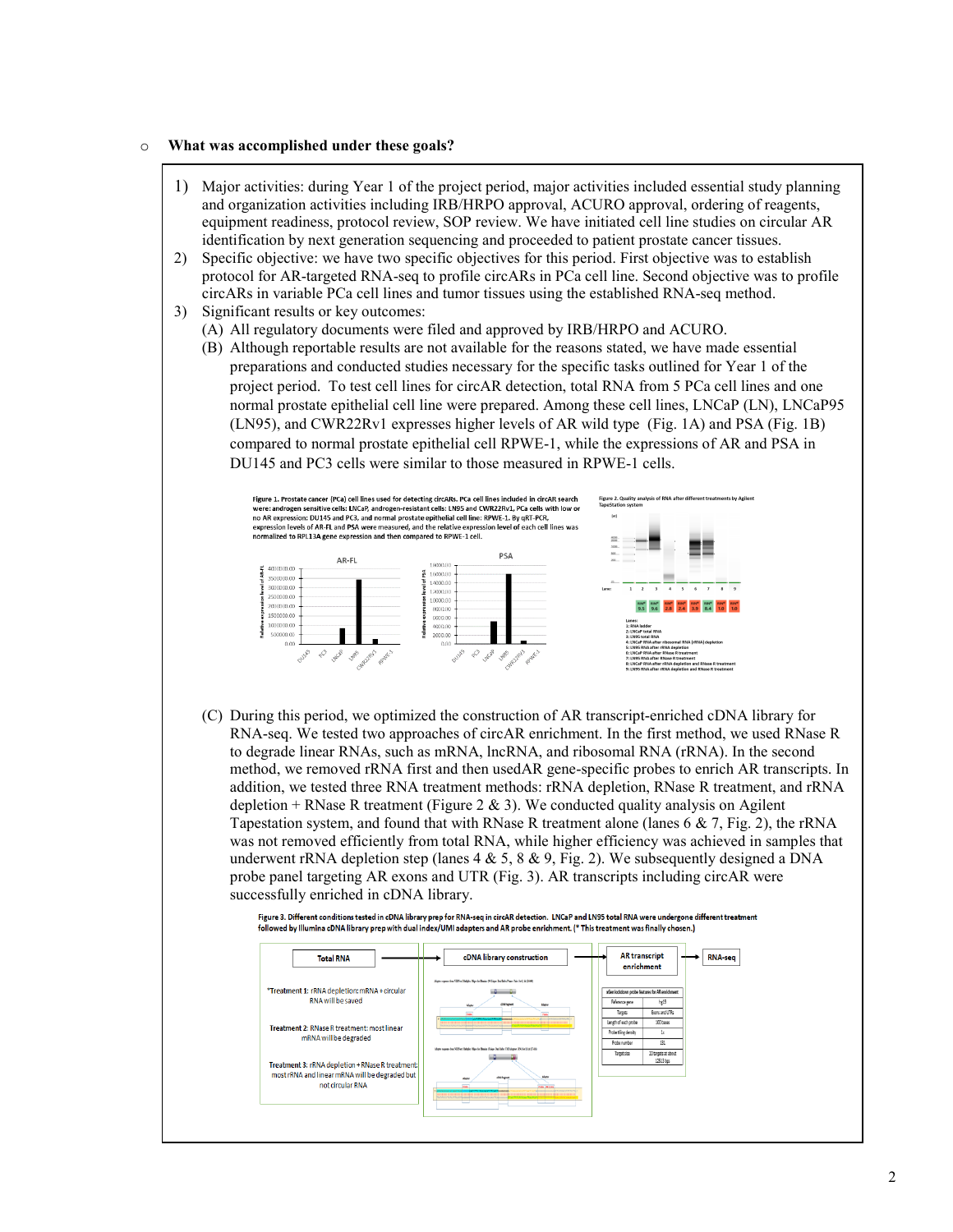#### o **What was accomplished under these goals?**

- 1) Major activities: during Year 1 of the project period, major activities included essential study planning and organization activities including IRB/HRPO approval, ACURO approval, ordering of reagents, equipment readiness, protocol review, SOP review. We have initiated cell line studies on circular AR identification by next generation sequencing and proceeded to patient prostate cancer tissues.
- 2) Specific objective: we have two specific objectives for this period. First objective was to establish protocol for AR-targeted RNA-seq to profile circARs in PCa cell line. Second objective was to profile circARs in variable PCa cell lines and tumor tissues using the established RNA-seq method.
- 3) Significant results or key outcomes:
	- (A) All regulatory documents were filed and approved by IRB/HRPO and ACURO.
	- (B) Although reportable results are not available for the reasons stated, we have made essential preparations and conducted studies necessary for the specific tasks outlined for Year 1 of the project period. To test cell lines for circAR detection, total RNA from 5 PCa cell lines and one normal prostate epithelial cell line were prepared. Among these cell lines, LNCaP (LN), LNCaP95 (LN95), and CWR22Rv1 expresses higher levels of AR wild type (Fig. 1A) and PSA (Fig. 1B) compared to normal prostate epithelial cell RPWE-1, while the expressions of AR and PSA in DU145 and PC3 cells were similar to those measured in RPWE-1 cells.



(C) During this period, we optimized the construction of AR transcript-enriched cDNA library for RNA-seq. We tested two approaches of circAR enrichment. In the first method, we used RNase R to degrade linear RNAs, such as mRNA, lncRNA, and ribosomal RNA (rRNA). In the second method, we removed rRNA first and then usedAR gene-specific probes to enrich AR transcripts. In addition, we tested three RNA treatment methods: rRNA depletion, RNase R treatment, and rRNA depletion + RNase R treatment (Figure 2 & 3). We conducted quality analysis on Agilent Tapestation system, and found that with RNase R treatment alone (lanes  $6 \& 7$ , Fig. 2), the rRNA was not removed efficiently from total RNA, while higher efficiency was achieved in samples that underwent rRNA depletion step (lanes  $4 \& 5, 8 \& 9$ , Fig. 2). We subsequently designed a DNA probe panel targeting AR exons and UTR (Fig. 3). AR transcripts including circAR were successfully enriched in cDNA library.



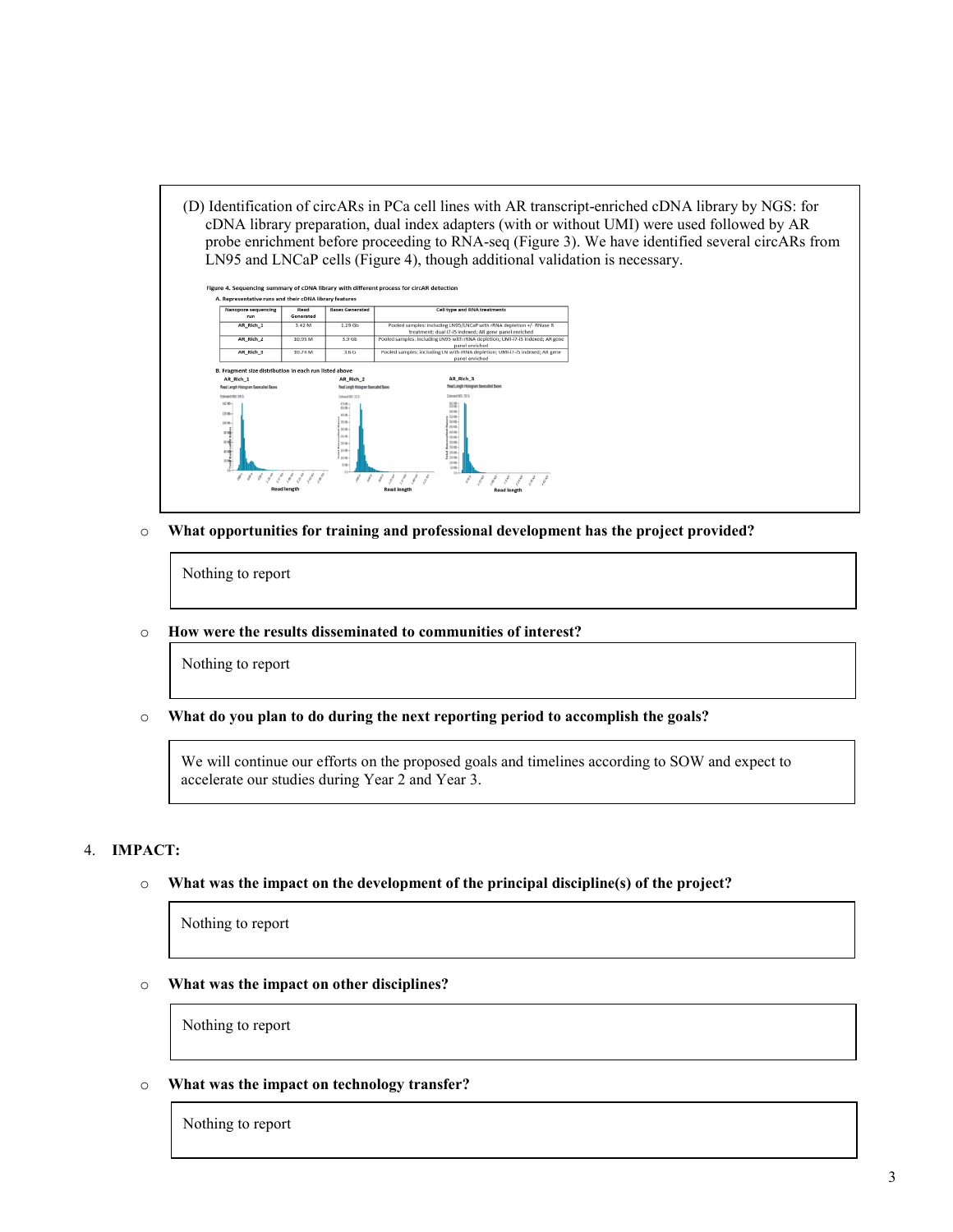(D) Identification of circARs in PCa cell lines with AR transcript-enriched cDNA library by NGS: for cDNA library preparation, dual index adapters (with or without UMI) were used followed by AR probe enrichment before proceeding to RNA-seq (Figure 3). We have identified several circARs from LN95 and LNCaP cells (Figure 4), though additional validation is necessary.



o **What opportunities for training and professional development has the project provided?**

Nothing to report

o **How were the results disseminated to communities of interest?**

Nothing to report

o **What do you plan to do during the next reporting period to accomplish the goals?**

We will continue our efforts on the proposed goals and timelines according to SOW and expect to accelerate our studies during Year 2 and Year 3.

#### 4. **IMPACT:**

o **What was the impact on the development of the principal discipline(s) of the project?**

Nothing to report

o **What was the impact on other disciplines?**

Nothing to report

#### o **What was the impact on technology transfer?**

Nothing to report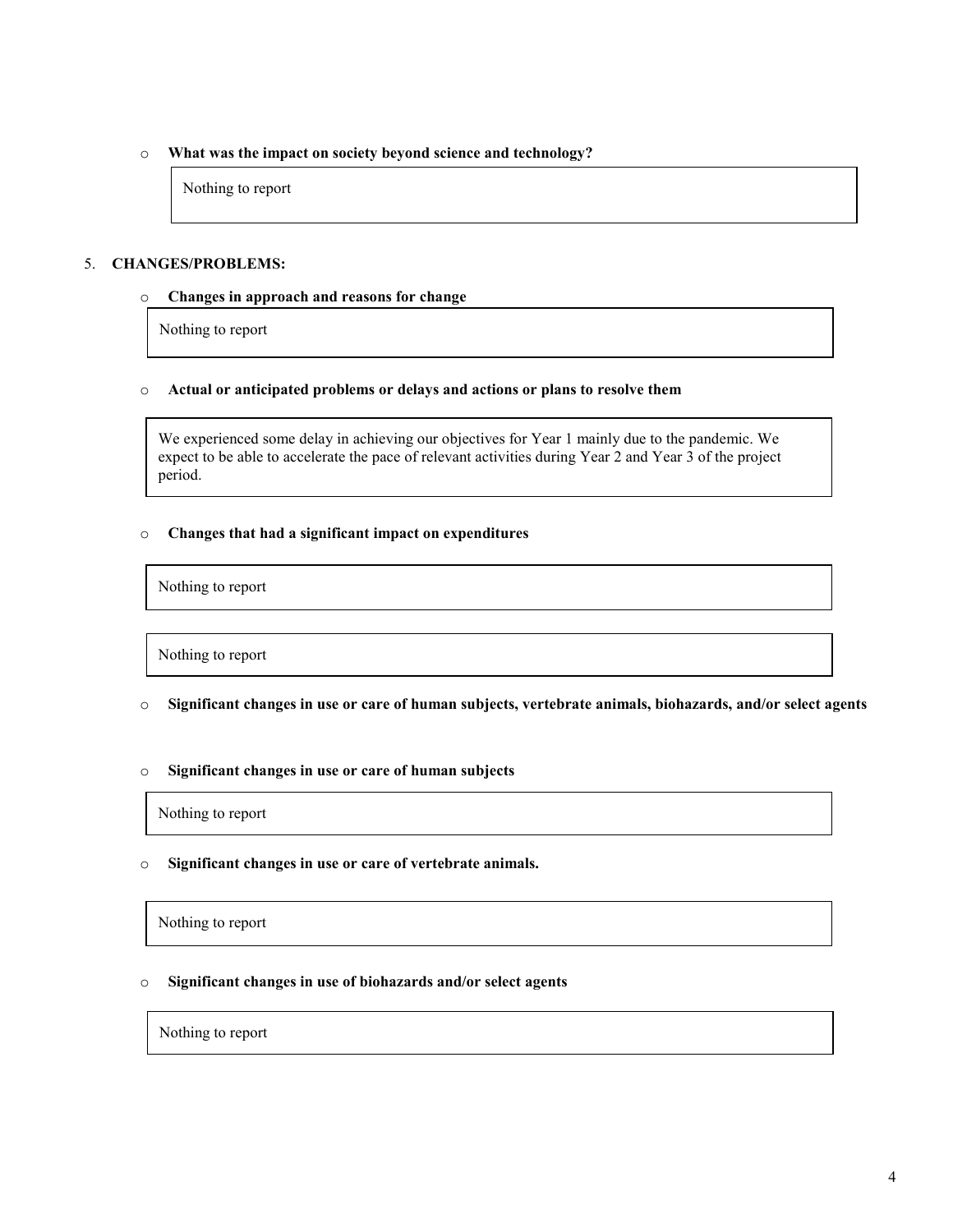### o **What was the impact on society beyond science and technology?**

Nothing to report

#### 5. **CHANGES/PROBLEMS:**

#### o **Changes in approach and reasons for change**

Nothing to report

#### o **Actual or anticipated problems or delays and actions or plans to resolve them**

We experienced some delay in achieving our objectives for Year 1 mainly due to the pandemic. We expect to be able to accelerate the pace of relevant activities during Year 2 and Year 3 of the project period.

#### o **Changes that had a significant impact on expenditures**

Nothing to report

Nothing to report

o **Significant changes in use or care of human subjects, vertebrate animals, biohazards, and/or select agents**

#### o **Significant changes in use or care of human subjects**

Nothing to report

o **Significant changes in use or care of vertebrate animals.**

Nothing to report

o **Significant changes in use of biohazards and/or select agents**

Nothing to report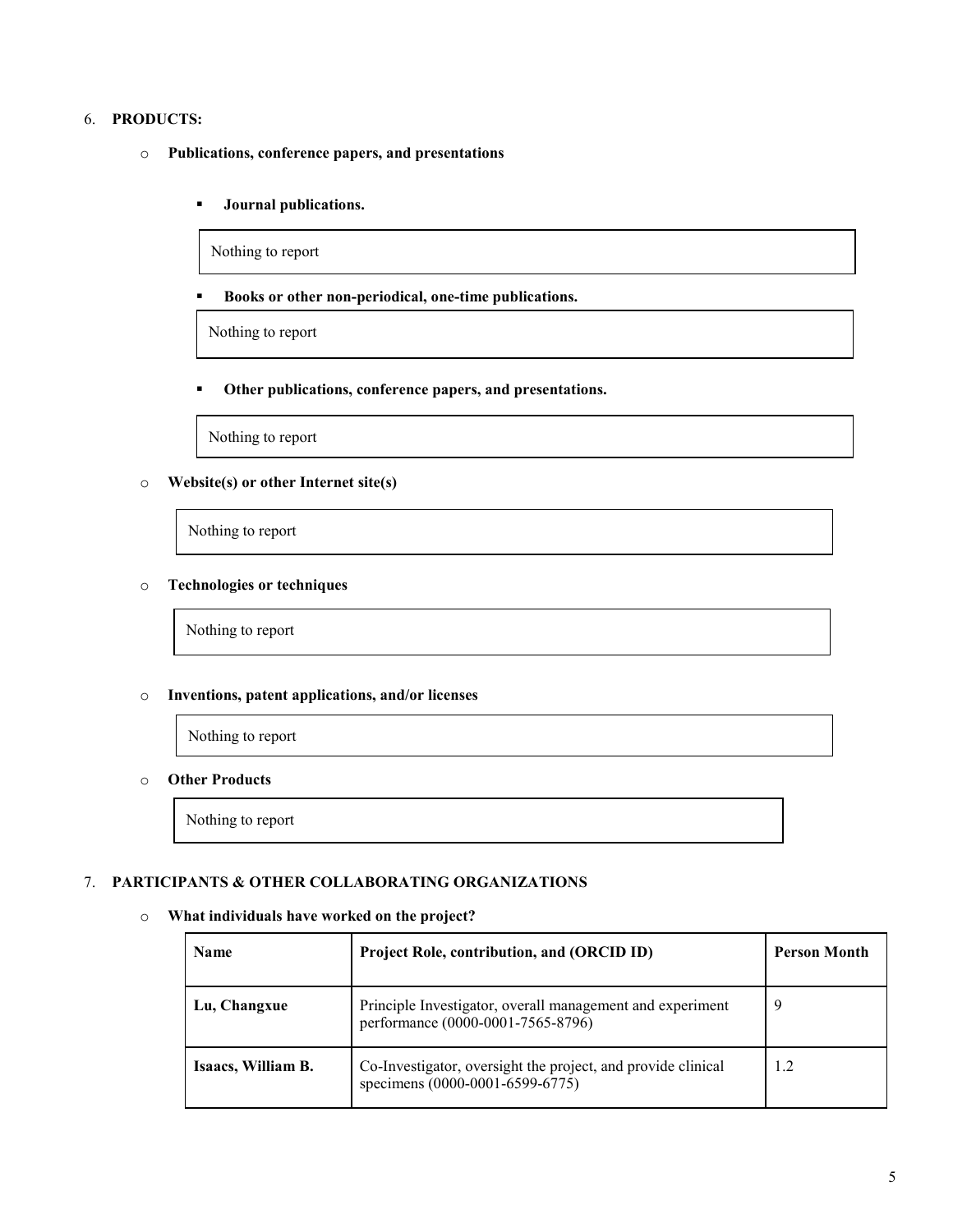### 6. **PRODUCTS:**

- o **Publications, conference papers, and presentations**
	- **Journal publications.**

Nothing to report

**Books or other non-periodical, one-time publications.**

Nothing to report

**Other publications, conference papers, and presentations.**

Nothing to report

### o **Website(s) or other Internet site(s)**

Nothing to report

### o **Technologies or techniques**

Nothing to report

### o **Inventions, patent applications, and/or licenses**

Nothing to report

#### o **Other Products**

Nothing to report

#### 7. **PARTICIPANTS & OTHER COLLABORATING ORGANIZATIONS**

#### o **What individuals have worked on the project?**

| <b>Name</b>        | <b>Project Role, contribution, and (ORCID ID)</b>                                               | <b>Person Month</b> |
|--------------------|-------------------------------------------------------------------------------------------------|---------------------|
| Lu, Changxue       | Principle Investigator, overall management and experiment<br>performance (0000-0001-7565-8796)  | 9                   |
| Isaacs, William B. | Co-Investigator, oversight the project, and provide clinical<br>specimens (0000-0001-6599-6775) | 1.2                 |